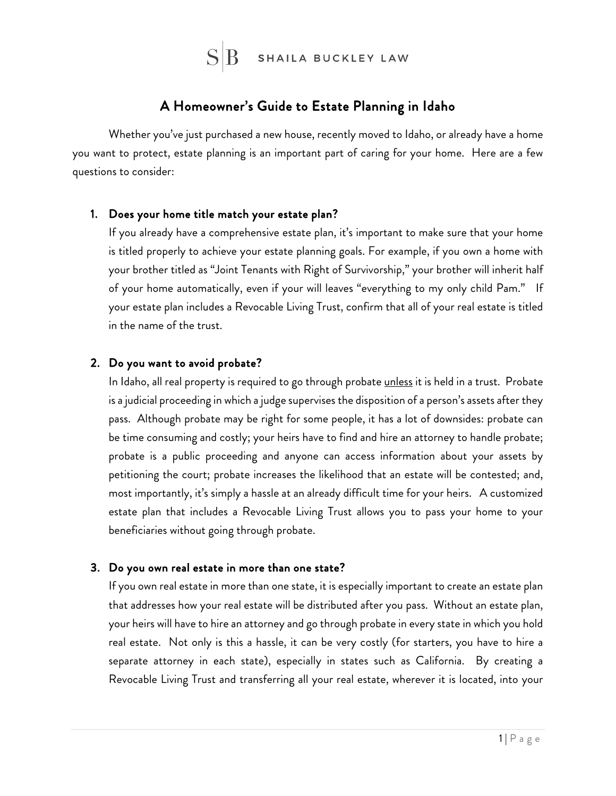

# A Homeowner's Guide to Estate Planning in Idaho

Whether you've just purchased a new house, recently moved to Idaho, or already have a home you want to protect, estate planning is an important part of caring for your home. Here are a few questions to consider:

#### 1. Does your home title match your estate plan?

If you already have a comprehensive estate plan, it's important to make sure that your home is titled properly to achieve your estate planning goals. For example, if you own a home with your brother titled as "Joint Tenants with Right of Survivorship," your brother will inherit half of your home automatically, even if your will leaves "everything to my only child Pam." If your estate plan includes a Revocable Living Trust, confirm that all of your real estate is titled in the name of the trust.

## 2. Do you want to avoid probate?

In Idaho, all real property is required to go through probate unless it is held in a trust. Probate is a judicial proceeding in which a judge supervises the disposition of a person's assets after they pass. Although probate may be right for some people, it has a lot of downsides: probate can be time consuming and costly; your heirs have to find and hire an attorney to handle probate; probate is a public proceeding and anyone can access information about your assets by petitioning the court; probate increases the likelihood that an estate will be contested; and, most importantly, it's simply a hassle at an already difficult time for your heirs. A customized estate plan that includes a Revocable Living Trust allows you to pass your home to your beneficiaries without going through probate.

#### 3. Do you own real estate in more than one state?

If you own real estate in more than one state, it is especially important to create an estate plan that addresses how your real estate will be distributed after you pass. Without an estate plan, your heirs will have to hire an attorney and go through probate in every state in which you hold real estate. Not only is this a hassle, it can be very costly (for starters, you have to hire a separate attorney in each state), especially in states such as California. By creating a Revocable Living Trust and transferring all your real estate, wherever it is located, into your